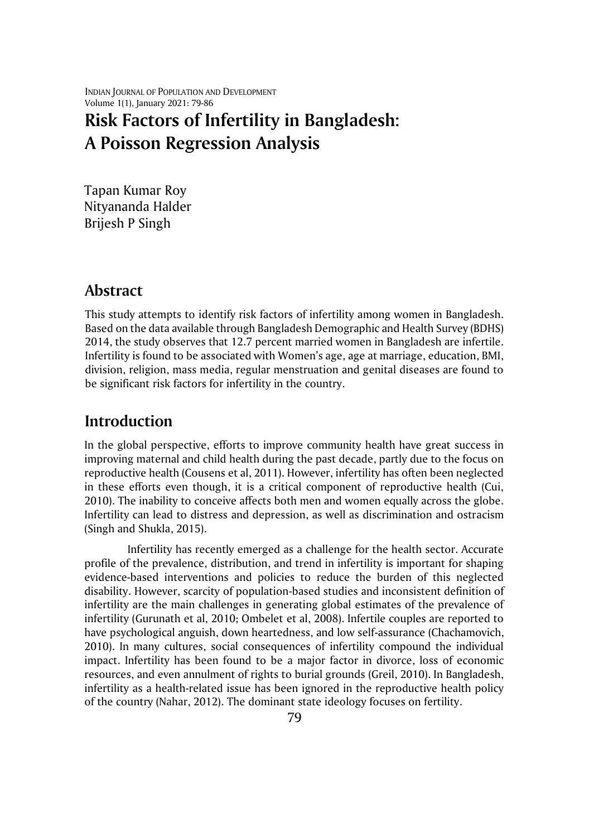INDIAN JOURNAL OF POPULATION AND DEVELOPMENT Volume 1(1), January 2021: 79-86

# **Risk Factors of Infertility in Bangladesh: A Poisson Regression Analysis**

Tapan Kumar Roy Nityananda Halder Brijesh P Singh

#### **Abstract**

This study attempts to identify risk factors of infertility among women in Bangladesh. Based on the data available through Bangladesh Demographic and Health Survey (BDHS) 2014, the study observes that 12.7 percent married women in Bangladesh are infertile. Infertility is found to be associated with Women's age, age at marriage, education, BMI, division, religion, mass media, regular menstruation and genital diseases are found to be significant risk factors for infertility in the country.

## **Introduction**

In the global perspective, efforts to improve community health have great success in improving maternal and child health during the past decade, partly due to the focus on reproductive health (Cousens et al, 2011). However, infertility has often been neglected in these efforts even though, it is a critical component of reproductive health (Cui, 2010). The inability to conceive affects both men and women equally across the globe. Infertility can lead to distress and depression, as well as discrimination and ostracism (Singh and Shukla, 2015).

Infertility has recently emerged as a challenge for the health sector. Accurate profile of the prevalence, distribution, and trend in infertility is important for shaping evidence-based interventions and policies to reduce the burden of this neglected disability. However, scarcity of population-based studies and inconsistent definition of infertility are the main challenges in generating global estimates of the prevalence of infertility (Gurunath et al, 2010; Ombelet et al, 2008). Infertile couples are reported to have psychological anguish, down heartedness, and low self-assurance (Chachamovich, 2010). In many cultures, social consequences of infertility compound the individual impact. Infertility has been found to be a major factor in divorce, loss of economic resources, and even annulment of rights to burial grounds (Greil, 2010). In Bangladesh, infertility as a health-related issue has been ignored in the reproductive health policy of the country (Nahar, 2012). The dominant state ideology focuses on fertility.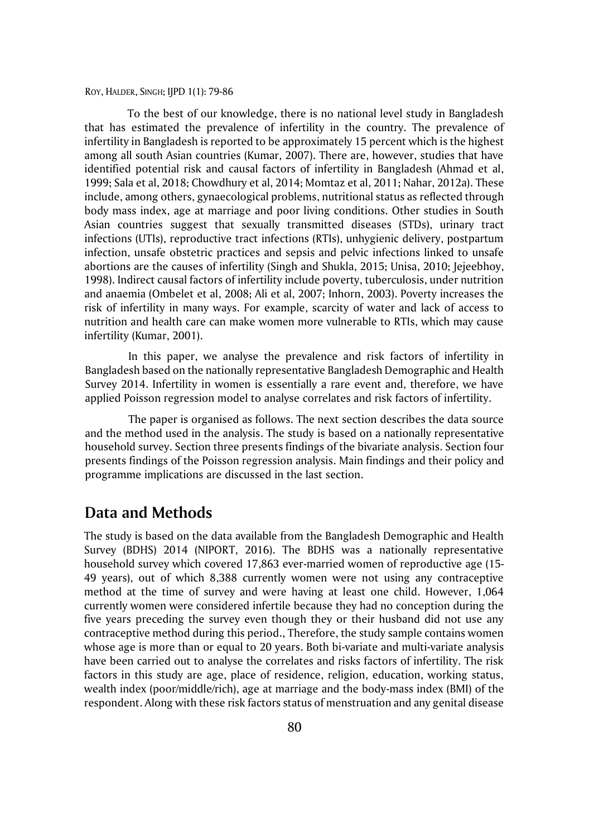To the best of our knowledge, there is no national level study in Bangladesh that has estimated the prevalence of infertility in the country. The prevalence of infertility in Bangladesh is reported to be approximately 15 percent which is the highest among all south Asian countries (Kumar, 2007). There are, however, studies that have identified potential risk and causal factors of infertility in Bangladesh (Ahmad et al, 1999; Sala et al, 2018; Chowdhury et al, 2014; Momtaz et al, 2011; Nahar, 2012a). These include, among others, gynaecological problems, nutritional status as reflected through body mass index, age at marriage and poor living conditions. Other studies in South Asian countries suggest that sexually transmitted diseases (STDs), urinary tract infections (UTIs), reproductive tract infections (RTIs), unhygienic delivery, postpartum infection, unsafe obstetric practices and sepsis and pelvic infections linked to unsafe abortions are the causes of infertility (Singh and Shukla, 2015; Unisa, 2010; Jejeebhoy, 1998). Indirect causal factors of infertility include poverty, tuberculosis, under nutrition and anaemia (Ombelet et al, 2008; Ali et al, 2007; Inhorn, 2003). Poverty increases the risk of infertility in many ways. For example, scarcity of water and lack of access to nutrition and health care can make women more vulnerable to RTIs, which may cause infertility (Kumar, 2001).

In this paper, we analyse the prevalence and risk factors of infertility in Bangladesh based on the nationally representative Bangladesh Demographic and Health Survey 2014. Infertility in women is essentially a rare event and, therefore, we have applied Poisson regression model to analyse correlates and risk factors of infertility.

The paper is organised as follows. The next section describes the data source and the method used in the analysis. The study is based on a nationally representative household survey. Section three presents findings of the bivariate analysis. Section four presents findings of the Poisson regression analysis. Main findings and their policy and programme implications are discussed in the last section.

### **Data and Methods**

The study is based on the data available from the Bangladesh Demographic and Health Survey (BDHS) 2014 (NIPORT, 2016). The BDHS was a nationally representative household survey which covered 17,863 ever-married women of reproductive age (15- 49 years), out of which 8,388 currently women were not using any contraceptive method at the time of survey and were having at least one child. However, 1,064 currently women were considered infertile because they had no conception during the five years preceding the survey even though they or their husband did not use any contraceptive method during this period., Therefore, the study sample contains women whose age is more than or equal to 20 years. Both bi-variate and multi-variate analysis have been carried out to analyse the correlates and risks factors of infertility. The risk factors in this study are age, place of residence, religion, education, working status, wealth index (poor/middle/rich), age at marriage and the body-mass index (BMI) of the respondent. Along with these risk factors status of menstruation and any genital disease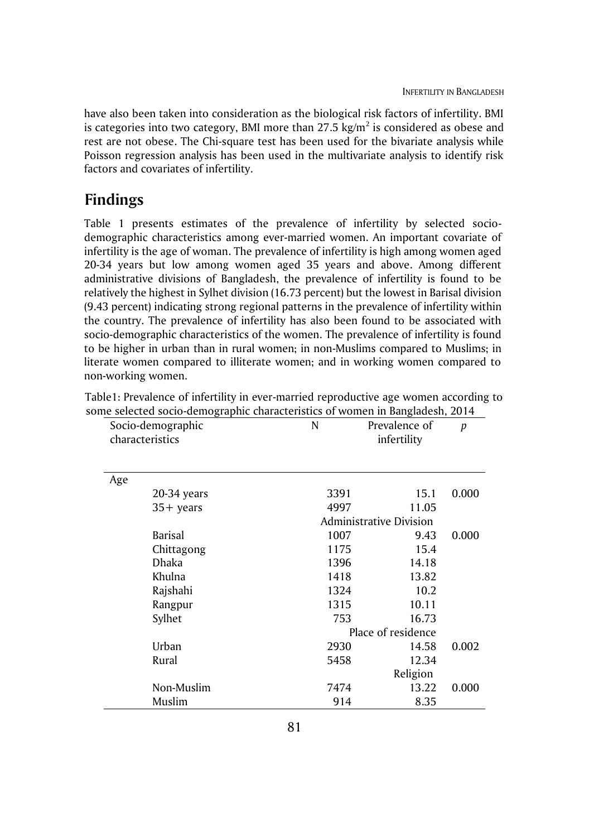have also been taken into consideration as the biological risk factors of infertility. BMI is categories into two category, BMI more than 27.5 kg/m $^2$  is considered as obese and rest are not obese. The Chi-square test has been used for the bivariate analysis while Poisson regression analysis has been used in the multivariate analysis to identify risk factors and covariates of infertility.

## **Findings**

Table 1 presents estimates of the prevalence of infertility by selected sociodemographic characteristics among ever-married women. An important covariate of infertility is the age of woman. The prevalence of infertility is high among women aged 20-34 years but low among women aged 35 years and above. Among different administrative divisions of Bangladesh, the prevalence of infertility is found to be relatively the highest in Sylhet division (16.73 percent) but the lowest in Barisal division (9.43 percent) indicating strong regional patterns in the prevalence of infertility within the country. The prevalence of infertility has also been found to be associated with socio-demographic characteristics of the women. The prevalence of infertility is found to be higher in urban than in rural women; in non-Muslims compared to Muslims; in literate women compared to illiterate women; and in working women compared to non-working women.

|     | Socio-demographic<br>characteristics | N                              | Prevalence of<br>infertility | $\boldsymbol{p}$ |  |
|-----|--------------------------------------|--------------------------------|------------------------------|------------------|--|
|     |                                      |                                |                              |                  |  |
| Age |                                      |                                |                              |                  |  |
|     | 20-34 years                          | 3391                           | 15.1                         | 0.000            |  |
|     | $35+$ years                          | 4997                           | 11.05                        |                  |  |
|     |                                      | <b>Administrative Division</b> |                              |                  |  |
|     | <b>Barisal</b>                       | 1007                           | 9.43                         | 0.000            |  |
|     | Chittagong                           | 1175                           | 15.4                         |                  |  |
|     | <b>Dhaka</b>                         | 1396                           | 14.18                        |                  |  |
|     | Khulna                               | 1418                           | 13.82                        |                  |  |
|     | Rajshahi                             | 1324                           | 10.2                         |                  |  |
|     | Rangpur                              | 1315                           | 10.11                        |                  |  |
|     | Sylhet                               | 753                            | 16.73                        |                  |  |
|     |                                      |                                | Place of residence           |                  |  |
|     | Urban                                | 2930                           | 14.58                        | 0.002            |  |
|     | Rural                                | 5458                           | 12.34                        |                  |  |
|     |                                      |                                | Religion                     |                  |  |
|     | Non-Muslim                           | 7474                           | 13.22                        | 0.000            |  |
|     | Muslim                               | 914                            | 8.35                         |                  |  |

Table1: Prevalence of infertility in ever-married reproductive age women according to some selected socio-demographic characteristics of women in Bangladesh, 2014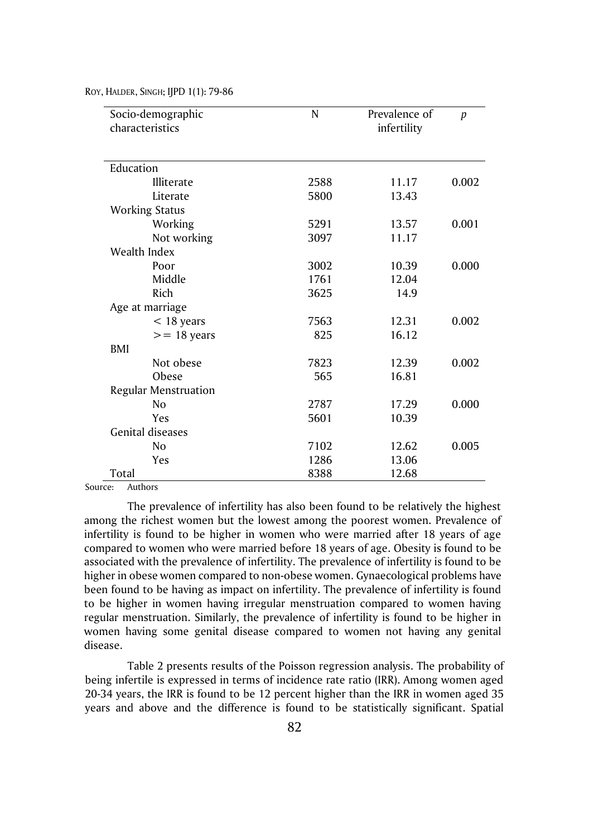| Socio-demographic       | N    | Prevalence of | $\boldsymbol{p}$ |  |
|-------------------------|------|---------------|------------------|--|
| characteristics         |      | infertility   |                  |  |
|                         |      |               |                  |  |
| Education               |      |               |                  |  |
| Illiterate              | 2588 | 11.17         | 0.002            |  |
| Literate                | 5800 | 13.43         |                  |  |
| <b>Working Status</b>   |      |               |                  |  |
| Working                 | 5291 | 13.57         | 0.001            |  |
| Not working             | 3097 | 11.17         |                  |  |
| Wealth Index            |      |               |                  |  |
| Poor                    | 3002 | 10.39         | 0.000            |  |
| Middle                  | 1761 | 12.04         |                  |  |
| Rich                    | 3625 | 14.9          |                  |  |
| Age at marriage         |      |               |                  |  |
| $<$ 18 years            | 7563 | 12.31         | 0.002            |  |
| $>= 18$ years           | 825  | 16.12         |                  |  |
| BMI                     |      |               |                  |  |
| Not obese               | 7823 | 12.39         | 0.002            |  |
| Obese                   | 565  | 16.81         |                  |  |
| Regular Menstruation    |      |               |                  |  |
| N <sub>o</sub>          | 2787 | 17.29         | 0.000            |  |
| Yes                     | 5601 | 10.39         |                  |  |
| <b>Genital diseases</b> |      |               |                  |  |
| N <sub>o</sub>          | 7102 | 12.62         | 0.005            |  |
| Yes                     | 1286 | 13.06         |                  |  |
| Total                   | 8388 | 12.68         |                  |  |

Source: Authors

The prevalence of infertility has also been found to be relatively the highest among the richest women but the lowest among the poorest women. Prevalence of infertility is found to be higher in women who were married after 18 years of age compared to women who were married before 18 years of age. Obesity is found to be associated with the prevalence of infertility. The prevalence of infertility is found to be higher in obese women compared to non-obese women. Gynaecological problems have been found to be having as impact on infertility. The prevalence of infertility is found to be higher in women having irregular menstruation compared to women having regular menstruation. Similarly, the prevalence of infertility is found to be higher in women having some genital disease compared to women not having any genital disease.

Table 2 presents results of the Poisson regression analysis. The probability of being infertile is expressed in terms of incidence rate ratio (IRR). Among women aged 20-34 years, the IRR is found to be 12 percent higher than the IRR in women aged 35 years and above and the difference is found to be statistically significant. Spatial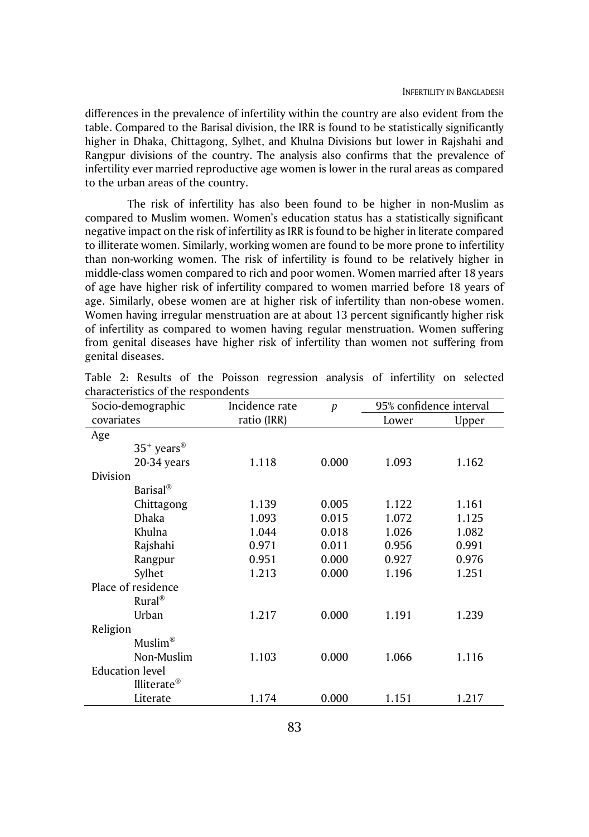differences in the prevalence of infertility within the country are also evident from the table. Compared to the Barisal division, the IRR is found to be statistically significantly higher in Dhaka, Chittagong, Sylhet, and Khulna Divisions but lower in Rajshahi and Rangpur divisions of the country. The analysis also confirms that the prevalence of infertility ever married reproductive age women is lower in the rural areas as compared to the urban areas of the country.

The risk of infertility has also been found to be higher in non-Muslim as compared to Muslim women. Women's education status has a statistically significant negative impact on the risk of infertility as IRR is found to be higher in literate compared to illiterate women. Similarly, working women are found to be more prone to infertility than non-working women. The risk of infertility is found to be relatively higher in middle-class women compared to rich and poor women. Women married after 18 years of age have higher risk of infertility compared to women married before 18 years of age. Similarly, obese women are at higher risk of infertility than non-obese women. Women having irregular menstruation are at about 13 percent significantly higher risk of infertility as compared to women having regular menstruation. Women suffering from genital diseases have higher risk of infertility than women not suffering from genital diseases.

| Socio-demographic      | Incidence rate | $\boldsymbol{p}$ |       | 95% confidence interval |  |
|------------------------|----------------|------------------|-------|-------------------------|--|
| covariates             | ratio (IRR)    |                  | Lower | Upper                   |  |
| Age                    |                |                  |       |                         |  |
| $35^+$ years®          |                |                  |       |                         |  |
| 20-34 years            | 1.118          | 0.000            | 1.093 | 1.162                   |  |
| Division               |                |                  |       |                         |  |
| $Barisal^{\circledR}$  |                |                  |       |                         |  |
| Chittagong             | 1.139          | 0.005            | 1.122 | 1.161                   |  |
| <b>Dhaka</b>           | 1.093          | 0.015            | 1.072 | 1.125                   |  |
| Khulna                 | 1.044          | 0.018            | 1.026 | 1.082                   |  |
| Rajshahi               | 0.971          | 0.011            | 0.956 | 0.991                   |  |
| Rangpur                | 0.951          | 0.000            | 0.927 | 0.976                   |  |
| Sylhet                 | 1.213          | 0.000            | 1.196 | 1.251                   |  |
| Place of residence     |                |                  |       |                         |  |
| $Rural^{\circledR}$    |                |                  |       |                         |  |
| Urban                  | 1.217          | 0.000            | 1.191 | 1.239                   |  |
| Religion               |                |                  |       |                         |  |
| $M$ uslim®             |                |                  |       |                         |  |
| Non-Muslim             | 1.103          | 0.000            | 1.066 | 1.116                   |  |
| <b>Education level</b> |                |                  |       |                         |  |
| Illiterate®            |                |                  |       |                         |  |
| Literate               | 1.174          | 0.000            | 1.151 | 1.217                   |  |

|  |                                    |  | Table 2: Results of the Poisson regression analysis of infertility on selected |  |  |  |
|--|------------------------------------|--|--------------------------------------------------------------------------------|--|--|--|
|  | characteristics of the respondents |  |                                                                                |  |  |  |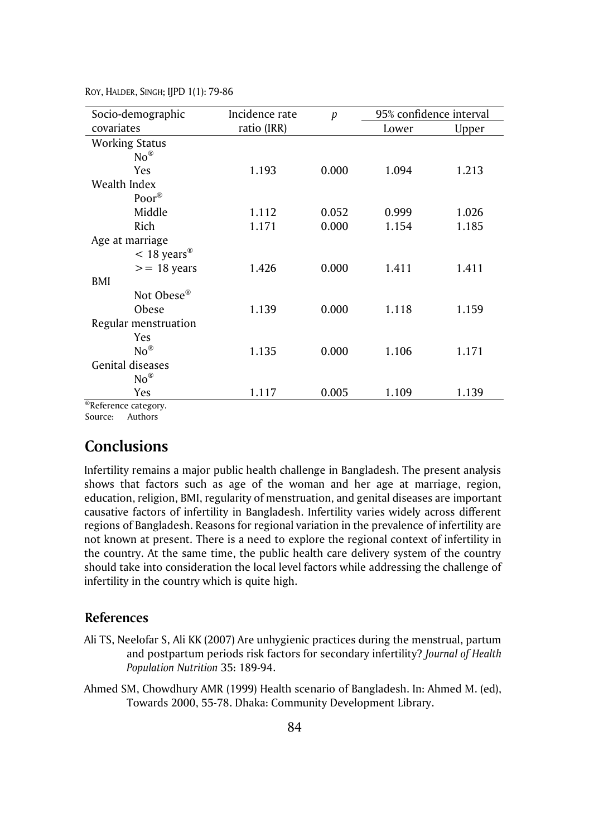| Socio-demographic                                                                                                                                                                                                                                                                                                                                                          | Incidence rate<br>$\boldsymbol{p}$ |       | 95% confidence interval |       |
|----------------------------------------------------------------------------------------------------------------------------------------------------------------------------------------------------------------------------------------------------------------------------------------------------------------------------------------------------------------------------|------------------------------------|-------|-------------------------|-------|
| covariates                                                                                                                                                                                                                                                                                                                                                                 | ratio (IRR)                        |       | Lower                   | Upper |
| <b>Working Status</b>                                                                                                                                                                                                                                                                                                                                                      |                                    |       |                         |       |
| $No^{\circledR}$                                                                                                                                                                                                                                                                                                                                                           |                                    |       |                         |       |
| Yes                                                                                                                                                                                                                                                                                                                                                                        | 1.193                              | 0.000 | 1.094                   | 1.213 |
| Wealth Index                                                                                                                                                                                                                                                                                                                                                               |                                    |       |                         |       |
| Poor®                                                                                                                                                                                                                                                                                                                                                                      |                                    |       |                         |       |
| Middle                                                                                                                                                                                                                                                                                                                                                                     | 1.112                              | 0.052 | 0.999                   | 1.026 |
| Rich                                                                                                                                                                                                                                                                                                                                                                       | 1.171                              | 0.000 | 1.154                   | 1.185 |
| Age at marriage                                                                                                                                                                                                                                                                                                                                                            |                                    |       |                         |       |
| $< 18$ years <sup>®</sup>                                                                                                                                                                                                                                                                                                                                                  |                                    |       |                         |       |
| $>= 18$ years                                                                                                                                                                                                                                                                                                                                                              | 1.426                              | 0.000 | 1.411                   | 1.411 |
| BMI                                                                                                                                                                                                                                                                                                                                                                        |                                    |       |                         |       |
| Not Obese <sup>®</sup>                                                                                                                                                                                                                                                                                                                                                     |                                    |       |                         |       |
| Obese                                                                                                                                                                                                                                                                                                                                                                      | 1.139                              | 0.000 | 1.118                   | 1.159 |
| Regular menstruation                                                                                                                                                                                                                                                                                                                                                       |                                    |       |                         |       |
| Yes                                                                                                                                                                                                                                                                                                                                                                        |                                    |       |                         |       |
| $No^{\circledR}$                                                                                                                                                                                                                                                                                                                                                           | 1.135                              | 0.000 | 1.106                   | 1.171 |
| <b>Genital diseases</b>                                                                                                                                                                                                                                                                                                                                                    |                                    |       |                         |       |
| $\mathrm{No}^{\circledR}$                                                                                                                                                                                                                                                                                                                                                  |                                    |       |                         |       |
| Yes                                                                                                                                                                                                                                                                                                                                                                        | 1.117                              | 0.005 | 1.109                   | 1.139 |
| $R_{\text{D}}$ of $\epsilon$ and $\epsilon$ and $\epsilon$ and $\epsilon$ and $\epsilon$ and $\epsilon$ and $\epsilon$ and $\epsilon$ and $\epsilon$ and $\epsilon$ and $\epsilon$ and $\epsilon$ and $\epsilon$ and $\epsilon$ and $\epsilon$ and $\epsilon$ and $\epsilon$ and $\epsilon$ and $\epsilon$ and $\epsilon$ and $\epsilon$ and $\epsilon$ and $\epsilon$ and |                                    |       |                         |       |

<sup>®</sup>Reference category. Source: Authors

## **Conclusions**

Infertility remains a major public health challenge in Bangladesh. The present analysis shows that factors such as age of the woman and her age at marriage, region, education, religion, BMI, regularity of menstruation, and genital diseases are important causative factors of infertility in Bangladesh. Infertility varies widely across different regions of Bangladesh. Reasons for regional variation in the prevalence of infertility are not known at present. There is a need to explore the regional context of infertility in the country. At the same time, the public health care delivery system of the country should take into consideration the local level factors while addressing the challenge of infertility in the country which is quite high.

#### **References**

- Ali TS, Neelofar S, Ali KK (2007) Are unhygienic practices during the menstrual, partum and postpartum periods risk factors for secondary infertility? *Journal of Health Population Nutrition* 35: 189-94.
- Ahmed SM, Chowdhury AMR (1999) Health scenario of Bangladesh. In: Ahmed M. (ed), Towards 2000, 55-78. Dhaka: Community Development Library.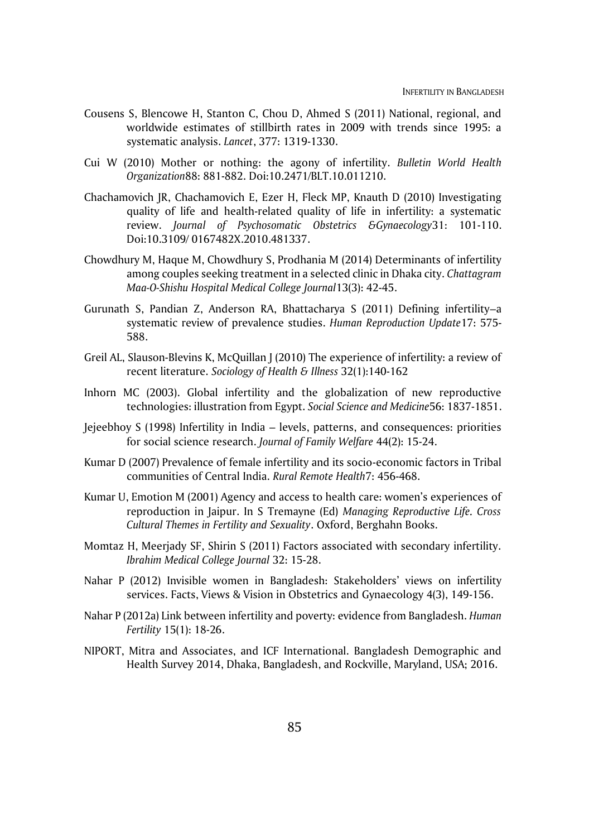- Cousens S, Blencowe H, Stanton C, Chou D, Ahmed S (2011) National, regional, and worldwide estimates of stillbirth rates in 2009 with trends since 1995: a systematic analysis. *Lancet*, 377: 1319-1330.
- Cui W (2010) Mother or nothing: the agony of infertility. *Bulletin World Health Organization*88: 881-882. Doi:10.2471/BLT.10.011210.
- Chachamovich JR, Chachamovich E, Ezer H, Fleck MP, Knauth D (2010) Investigating quality of life and health-related quality of life in infertility: a systematic review. *Journal of Psychosomatic Obstetrics &Gynaecology*31: 101-110. Doi:10.3109/ 0167482X.2010.481337.
- Chowdhury M, Haque M, Chowdhury S, Prodhania M (2014) Determinants of infertility among couples seeking treatment in a selected clinic in Dhaka city. *Chattagram Maa-O-Shishu Hospital Medical College Journal*13(3): 42-45.
- Gurunath S, Pandian Z, Anderson RA, Bhattacharya S (2011) Defining infertility–a systematic review of prevalence studies. *Human Reproduction Update*17: 575- 588.
- Greil AL, Slauson-Blevins K, McQuillan J (2010) The experience of infertility: a review of recent literature. *Sociology of Health & Illness* 32(1):140-162
- Inhorn MC (2003). Global infertility and the globalization of new reproductive technologies: illustration from Egypt. *Social Science and Medicine*56: 1837-1851.
- Jejeebhoy S (1998) Infertility in India levels, patterns, and consequences: priorities for social science research. *Journal of Family Welfare* 44(2): 15-24.
- Kumar D (2007) Prevalence of female infertility and its socio-economic factors in Tribal communities of Central India. *Rural Remote Health*7: 456-468.
- Kumar U, Emotion M (2001) Agency and access to health care: women's experiences of reproduction in Jaipur. In S Tremayne (Ed) *Managing Reproductive Life. Cross Cultural Themes in Fertility and Sexuality*. Oxford, Berghahn Books.
- Momtaz H, Meerjady SF, Shirin S (2011) Factors associated with secondary infertility. *Ibrahim Medical College Journal* 32: 15-28.
- Nahar P (2012) Invisible women in Bangladesh: Stakeholders' views on infertility services. Facts, Views & Vision in Obstetrics and Gynaecology 4(3), 149-156.
- Nahar P (2012a) Link between infertility and poverty: evidence from Bangladesh. *Human Fertility* 15(1): 18-26.
- NIPORT, Mitra and Associates, and ICF International. Bangladesh Demographic and Health Survey 2014, Dhaka, Bangladesh, and Rockville, Maryland, USA; 2016.